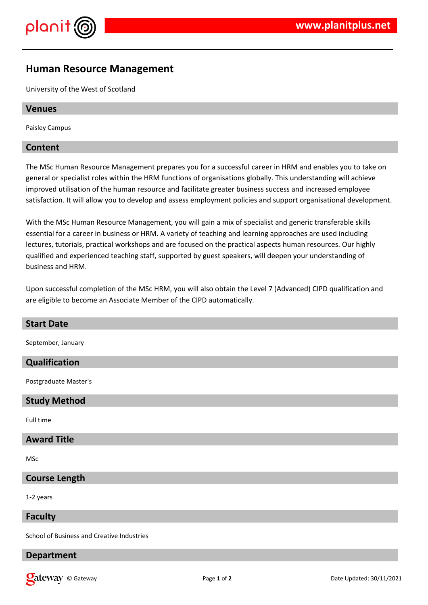



# **Human Resource Management**

University of the West of Scotland

### **Venues**

Paisley Campus

## **Content**

The MSc Human Resource Management prepares you for a successful career in HRM and enables you to take on general or specialist roles within the HRM functions of organisations globally. This understanding will achieve improved utilisation of the human resource and facilitate greater business success and increased employee satisfaction. It will allow you to develop and assess employment policies and support organisational development.

With the MSc Human Resource Management, you will gain a mix of specialist and generic transferable skills essential for a career in business or HRM. A variety of teaching and learning approaches are used including lectures, tutorials, practical workshops and are focused on the practical aspects human resources. Our highly qualified and experienced teaching staff, supported by guest speakers, will deepen your understanding of business and HRM.

Upon successful completion of the MSc HRM, you will also obtain the Level 7 (Advanced) CIPD qualification and are eligible to become an Associate Member of the CIPD automatically.

| <b>Start Date</b>                          |
|--------------------------------------------|
| September, January                         |
| Qualification                              |
| Postgraduate Master's                      |
| <b>Study Method</b>                        |
| Full time                                  |
| <b>Award Title</b>                         |
| <b>MSc</b>                                 |
| <b>Course Length</b>                       |
| 1-2 years                                  |
| <b>Faculty</b>                             |
| School of Business and Creative Industries |

# **Department**

**Callet Way** © Gateway **Page 1** of 2 **Date Updated: 30/11/2021 Date Updated: 30/11/2021**